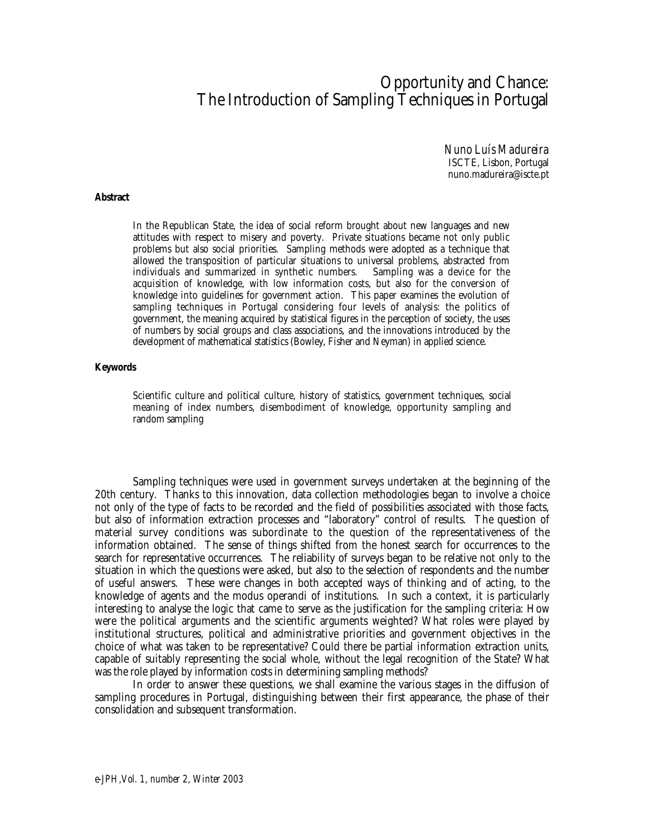# Opportunity and Chance: The Introduction of Sampling Techniques in Portugal

*Nuno Luís Madureira* ISCTE, Lisbon, Portugal nuno.madureira@iscte.pt

#### **Abstract**

In the Republican State, the idea of social reform brought about new languages and new attitudes with respect to misery and poverty. Private situations became not only public problems but also social priorities. Sampling methods were adopted as a technique that allowed the transposition of particular situations to universal problems, abstracted from individuals and summarized in synthetic numbers. Sampling was a device for the individuals and summarized in synthetic numbers. acquisition of knowledge, with low information costs, but also for the conversion of knowledge into guidelines for government action. This paper examines the evolution of sampling techniques in Portugal considering four levels of analysis: the politics of government, the meaning acquired by statistical figures in the perception of society, the uses of numbers by social groups and class associations, and the innovations introduced by the development of mathematical statistics (Bowley, Fisher and Neyman) in applied science.

#### **Keywords**

Scientific culture and political culture, history of statistics, government techniques, social meaning of index numbers, disembodiment of knowledge, opportunity sampling and random sampling

Sampling techniques were used in government surveys undertaken at the beginning of the 20th century. Thanks to this innovation, data collection methodologies began to involve a choice not only of the type of facts to be recorded and the field of possibilities associated with those facts, but also of information extraction processes and "laboratory" control of results. The question of material survey conditions was subordinate to the question of the representativeness of the information obtained. The sense of things shifted from the honest search for occurrences to the search for representative occurrences. The reliability of surveys began to be relative not only to the situation in which the questions were asked, but also to the selection of respondents and the number of useful answers. These were changes in both accepted ways of thinking and of acting, to the knowledge of agents and the modus operandi of institutions. In such a context, it is particularly interesting to analyse the logic that came to serve as the justification for the sampling criteria: How were the political arguments and the scientific arguments weighted? What roles were played by institutional structures, political and administrative priorities and government objectives in the choice of what was taken to be representative? Could there be partial information extraction units, capable of suitably representing the social whole, without the legal recognition of the State? What was the role played by information costs in determining sampling methods?

In order to answer these questions, we shall examine the various stages in the diffusion of sampling procedures in Portugal, distinguishing between their first appearance, the phase of their consolidation and subsequent transformation.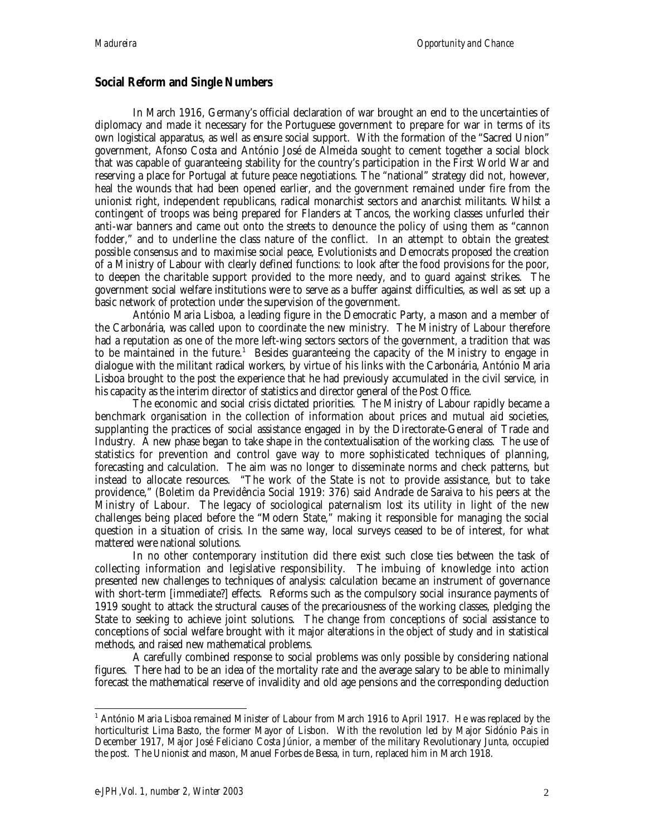## **Social Reform and Single Numbers**

In March 1916, Germany's official declaration of war brought an end to the uncertainties of diplomacy and made it necessary for the Portuguese government to prepare for war in terms of its own logistical apparatus, as well as ensure social support. With the formation of the "Sacred Union" government, Afonso Costa and António José de Almeida sought to cement together a social block that was capable of guaranteeing stability for the country's participation in the First World War and reserving a place for Portugal at future peace negotiations. The "national" strategy did not, however, heal the wounds that had been opened earlier, and the government remained under fire from the unionist right, independent republicans, radical monarchist sectors and anarchist militants. Whilst a contingent of troops was being prepared for Flanders at Tancos, the working classes unfurled their anti-war banners and came out onto the streets to denounce the policy of using them as "cannon fodder," and to underline the class nature of the conflict. In an attempt to obtain the greatest possible consensus and to maximise social peace, Evolutionists and Democrats proposed the creation of a Ministry of Labour with clearly defined functions: to look after the food provisions for the poor, to deepen the charitable support provided to the more needy, and to guard against strikes. The government social welfare institutions were to serve as a buffer against difficulties, as well as set up a basic network of protection under the supervision of the government.

António Maria Lisboa, a leading figure in the Democratic Party, a mason and a member of the Carbonária, was called upon to coordinate the new ministry. The Ministry of Labour therefore had a reputation as one of the more left-wing sectors sectors of the government, a tradition that was to be maintained in the future.<sup>1</sup> Besides guaranteeing the capacity of the Ministry to engage in dialogue with the militant radical workers, by virtue of his links with the Carbonária, António Maria Lisboa brought to the post the experience that he had previously accumulated in the civil service, in his capacity as the interim director of statistics and director general of the Post Office.

The economic and social crisis dictated priorities. The Ministry of Labour rapidly became a benchmark organisation in the collection of information about prices and mutual aid societies, supplanting the practices of social assistance engaged in by the Directorate-General of Trade and Industry. A new phase began to take shape in the contextualisation of the working class. The use of statistics for prevention and control gave way to more sophisticated techniques of planning, forecasting and calculation. The aim was no longer to disseminate norms and check patterns, but instead to allocate resources. "The work of the State is not to provide assistance, but to take providence," (Boletim da Previdência Social 1919: 376) said Andrade de Saraiva to his peers at the Ministry of Labour. The legacy of sociological paternalism lost its utility in light of the new challenges being placed before the "Modern State," making it responsible for managing the social question in a situation of crisis. In the same way, local surveys ceased to be of interest, for what mattered were national solutions.

In no other contemporary institution did there exist such close ties between the task of collecting information and legislative responsibility. The imbuing of knowledge into action presented new challenges to techniques of analysis: calculation became an instrument of governance with short-term [immediate?] effects. Reforms such as the compulsory social insurance payments of 1919 sought to attack the structural causes of the precariousness of the working classes, pledging the State to seeking to achieve joint solutions. The change from conceptions of social assistance to conceptions of social welfare brought with it major alterations in the object of study and in statistical methods, and raised new mathematical problems.

A carefully combined response to social problems was only possible by considering national figures. There had to be an idea of the mortality rate and the average salary to be able to minimally forecast the mathematical reserve of invalidity and old age pensions and the corresponding deduction

 $\overline{a}$ 

 $^{\rm 1}$  António Maria Lisboa remained Minister of Labour from March 1916 to April 1917. He was replaced by the horticulturist Lima Basto, the former Mayor of Lisbon. With the revolution led by Major Sidónio Pais in December 1917, Major José Feliciano Costa Júnior, a member of the military Revolutionary Junta, occupied the post. The Unionist and mason, Manuel Forbes de Bessa, in turn, replaced him in March 1918.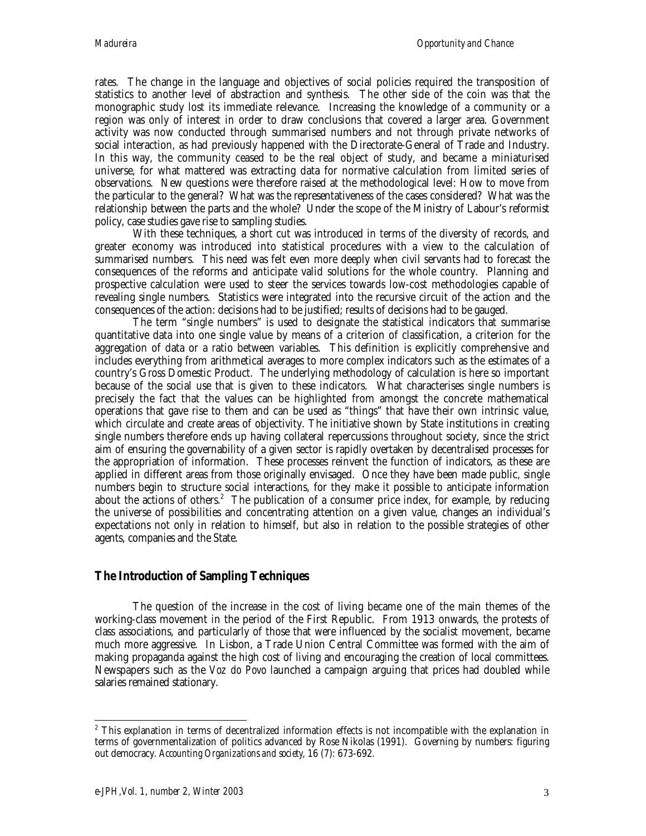rates. The change in the language and objectives of social policies required the transposition of statistics to another level of abstraction and synthesis. The other side of the coin was that the monographic study lost its immediate relevance. Increasing the knowledge of a community or a region was only of interest in order to draw conclusions that covered a larger area. Government activity was now conducted through summarised numbers and not through private networks of social interaction, as had previously happened with the Directorate-General of Trade and Industry. In this way, the community ceased to be the real object of study, and became a miniaturised universe, for what mattered was extracting data for normative calculation from limited series of observations. New questions were therefore raised at the methodological level: How to move from the particular to the general? What was the representativeness of the cases considered? What was the relationship between the parts and the whole? Under the scope of the Ministry of Labour's reformist policy, case studies gave rise to sampling studies.

With these techniques, a short cut was introduced in terms of the diversity of records, and greater economy was introduced into statistical procedures with a view to the calculation of summarised numbers. This need was felt even more deeply when civil servants had to forecast the consequences of the reforms and anticipate valid solutions for the whole country. Planning and prospective calculation were used to steer the services towards low-cost methodologies capable of revealing single numbers. Statistics were integrated into the recursive circuit of the action and the consequences of the action: decisions had to be justified; results of decisions had to be gauged.

The term "single numbers" is used to designate the statistical indicators that summarise quantitative data into one single value by means of a criterion of classification, a criterion for the aggregation of data or a ratio between variables. This definition is explicitly comprehensive and includes everything from arithmetical averages to more complex indicators such as the estimates of a country's Gross Domestic Product. The underlying methodology of calculation is here so important because of the social use that is given to these indicators. What characterises single numbers is precisely the fact that the values can be highlighted from amongst the concrete mathematical operations that gave rise to them and can be used as "things" that have their own intrinsic value, which circulate and create areas of objectivity. The initiative shown by State institutions in creating single numbers therefore ends up having collateral repercussions throughout society, since the strict aim of ensuring the governability of a given sector is rapidly overtaken by decentralised processes for the appropriation of information. These processes reinvent the function of indicators, as these are applied in different areas from those originally envisaged. Once they have been made public, single numbers begin to structure social interactions, for they make it possible to anticipate information about the actions of others.<sup>2</sup> The publication of a consumer price index, for example, by reducing the universe of possibilities and concentrating attention on a given value, changes an individual's expectations not only in relation to himself, but also in relation to the possible strategies of other agents, companies and the State.

### **The Introduction of Sampling Techniques**

The question of the increase in the cost of living became one of the main themes of the working-class movement in the period of the First Republic. From 1913 onwards, the protests of class associations, and particularly of those that were influenced by the socialist movement, became much more aggressive. In Lisbon, a Trade Union Central Committee was formed with the aim of making propaganda against the high cost of living and encouraging the creation of local committees. Newspapers such as the *Voz do Povo* launched a campaign arguing that prices had doubled while salaries remained stationary.

 $\overline{a}$  $^{\text{2}}$  This explanation in terms of decentralized information effects is not incompatible with the explanation in terms of governmentalization of politics advanced by Rose Nikolas (1991). Governing by numbers: figuring out democracy. *Accounting Organizations and society*, 16 (7): 673-692.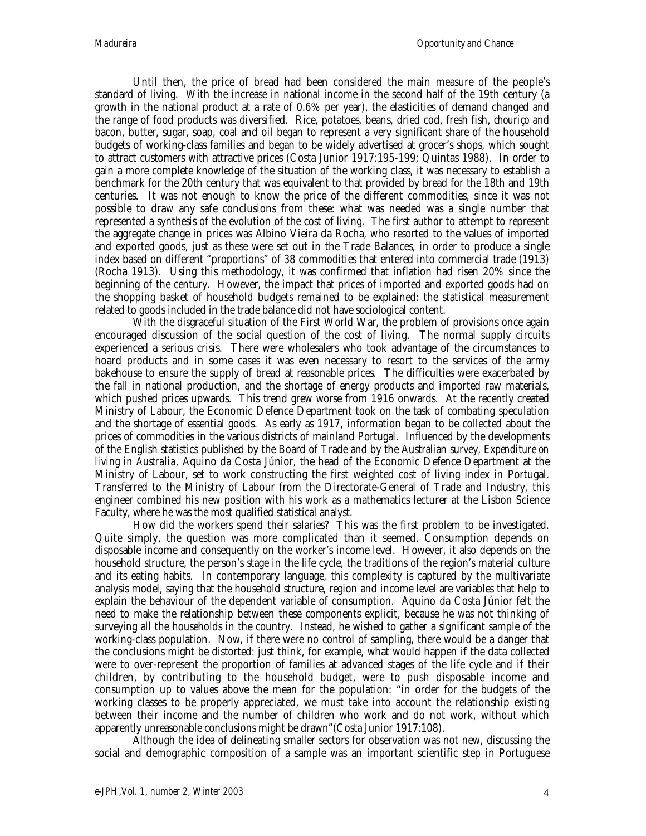Until then, the price of bread had been considered the main measure of the people's standard of living. With the increase in national income in the second half of the 19th century (a growth in the national product at a rate of 0.6% per year), the elasticities of demand changed and the range of food products was diversified. Rice, potatoes, beans, dried cod, fresh fish, *chouriço* and bacon, butter, sugar, soap, coal and oil began to represent a very significant share of the household budgets of working-class families and began to be widely advertised at grocer's shops, which sought to attract customers with attractive prices (Costa Junior 1917:195-199; Quintas 1988). In order to gain a more complete knowledge of the situation of the working class, it was necessary to establish a benchmark for the 20th century that was equivalent to that provided by bread for the 18th and 19th centuries. It was not enough to know the price of the different commodities, since it was not possible to draw any safe conclusions from these: what was needed was a single number that represented a synthesis of the evolution of the cost of living. The first author to attempt to represent the aggregate change in prices was Albino Vieira da Rocha, who resorted to the values of imported and exported goods, just as these were set out in the Trade Balances, in order to produce a single index based on different "proportions" of 38 commodities that entered into commercial trade (1913) (Rocha 1913). Using this methodology, it was confirmed that inflation had risen 20% since the beginning of the century. However, the impact that prices of imported and exported goods had on the shopping basket of household budgets remained to be explained: the statistical measurement related to goods included in the trade balance did not have sociological content.

With the disgraceful situation of the First World War, the problem of provisions once again encouraged discussion of the social question of the cost of living. The normal supply circuits experienced a serious crisis. There were wholesalers who took advantage of the circumstances to hoard products and in some cases it was even necessary to resort to the services of the army bakehouse to ensure the supply of bread at reasonable prices. The difficulties were exacerbated by the fall in national production, and the shortage of energy products and imported raw materials, which pushed prices upwards. This trend grew worse from 1916 onwards. At the recently created Ministry of Labour, the Economic Defence Department took on the task of combating speculation and the shortage of essential goods. As early as 1917, information began to be collected about the prices of commodities in the various districts of mainland Portugal. Influenced by the developments of the English statistics published by the Board of Trade and by the Australian survey, *Expenditure on living in Australia,* Aquino da Costa Júnior, the head of the Economic Defence Department at the Ministry of Labour, set to work constructing the first weighted cost of living index in Portugal. Transferred to the Ministry of Labour from the Directorate-General of Trade and Industry, this engineer combined his new position with his work as a mathematics lecturer at the Lisbon Science Faculty, where he was the most qualified statistical analyst.

How did the workers spend their salaries? This was the first problem to be investigated. Quite simply, the question was more complicated than it seemed. Consumption depends on disposable income and consequently on the worker's income level. However, it also depends on the household structure, the person's stage in the life cycle, the traditions of the region's material culture and its eating habits. In contemporary language, this complexity is captured by the multivariate analysis model, saying that the household structure, region and income level are variables that help to explain the behaviour of the dependent variable of consumption. Aquino da Costa Júnior felt the need to make the relationship between these components explicit, because he was not thinking of surveying all the households in the country. Instead, he wished to gather a significant sample of the working-class population. Now, if there were no control of sampling, there would be a danger that the conclusions might be distorted: just think, for example, what would happen if the data collected were to over-represent the proportion of families at advanced stages of the life cycle and if their children, by contributing to the household budget, were to push disposable income and consumption up to values above the mean for the population: "in order for the budgets of the working classes to be properly appreciated, we must take into account the relationship existing between their income and the number of children who work and do not work, without which apparently unreasonable conclusions might be drawn"(Costa Junior 1917:108).

Although the idea of delineating smaller sectors for observation was not new, discussing the social and demographic composition of a sample was an important scientific step in Portuguese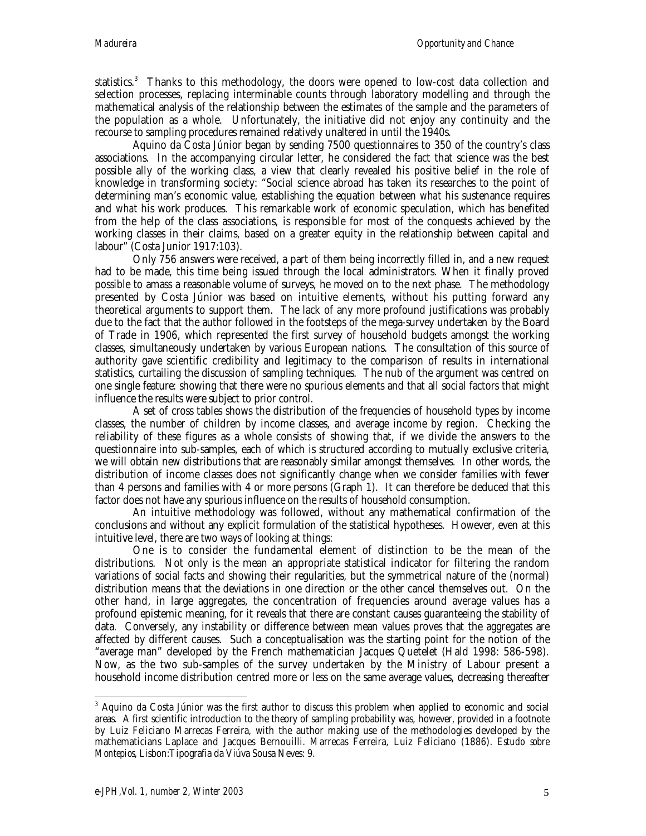statistics.<sup>3</sup> Thanks to this methodology, the doors were opened to low-cost data collection and selection processes, replacing interminable counts through laboratory modelling and through the mathematical analysis of the relationship between the estimates of the sample and the parameters of the population as a whole. Unfortunately, the initiative did not enjoy any continuity and the recourse to sampling procedures remained relatively unaltered in until the 1940s.

Aquino da Costa Júnior began by sending 7500 questionnaires to 350 of the country's class associations. In the accompanying circular letter, he considered the fact that science was the best possible ally of the working class, a view that clearly revealed his positive belief in the role of knowledge in transforming society: "Social science abroad has taken its researches to the point of determining man's economic value, establishing the equation between *what* his sustenance requires and *what* his work produces. This remarkable work of economic speculation, which has benefited from the help of the class associations, is responsible for most of the conquests achieved by the working classes in their claims, based on a greater equity in the relationship between capital and labour" (Costa Junior 1917:103).

Only 756 answers were received, a part of them being incorrectly filled in, and a new request had to be made, this time being issued through the local administrators. When it finally proved possible to amass a reasonable volume of surveys, he moved on to the next phase. The methodology presented by Costa Júnior was based on intuitive elements, without his putting forward any theoretical arguments to support them. The lack of any more profound justifications was probably due to the fact that the author followed in the footsteps of the mega-survey undertaken by the Board of Trade in 1906, which represented the first survey of household budgets amongst the working classes, simultaneously undertaken by various European nations. The consultation of this source of authority gave scientific credibility and legitimacy to the comparison of results in international statistics, curtailing the discussion of sampling techniques. The nub of the argument was centred on one single feature: showing that there were no spurious elements and that all social factors that might influence the results were subject to prior control.

A set of cross tables shows the distribution of the frequencies of household types by income classes, the number of children by income classes, and average income by region. Checking the reliability of these figures as a whole consists of showing that, if we divide the answers to the questionnaire into sub-samples, each of which is structured according to mutually exclusive criteria, we will obtain new distributions that are reasonably similar amongst themselves. In other words, the distribution of income classes does not significantly change when we consider families with fewer than 4 persons and families with 4 or more persons (Graph 1). It can therefore be deduced that this factor does not have any spurious influence on the results of household consumption.

An intuitive methodology was followed, without any mathematical confirmation of the conclusions and without any explicit formulation of the statistical hypotheses. However, even at this intuitive level, there are two ways of looking at things:

One is to consider the fundamental element of distinction to be the mean of the distributions. Not only is the mean an appropriate statistical indicator for filtering the random variations of social facts and showing their regularities, but the symmetrical nature of the (normal) distribution means that the deviations in one direction or the other cancel themselves out. On the other hand, in large aggregates, the concentration of frequencies around average values has a profound epistemic meaning, for it reveals that there are constant causes guaranteeing the stability of data. Conversely, any instability or difference between mean values proves that the aggregates are affected by different causes. Such a conceptualisation was the starting point for the notion of the "average man" developed by the French mathematician Jacques Quetelet (Hald 1998: 586-598). Now, as the two sub-samples of the survey undertaken by the Ministry of Labour present a household income distribution centred more or less on the same average values, decreasing thereafter

 3 Aquino da Costa Júnior was the first author to discuss this problem when applied to economic and social areas. A first scientific introduction to the theory of sampling probability was, however, provided in a footnote by Luiz Feliciano Marrecas Ferreira, with the author making use of the methodologies developed by the mathematicians Laplace and Jacques Bernouilli. Marrecas Ferreira, Luiz Feliciano (1886). *Estudo sobre Montepios*, Lisbon:Tipografia da Viúva Sousa Neves: 9.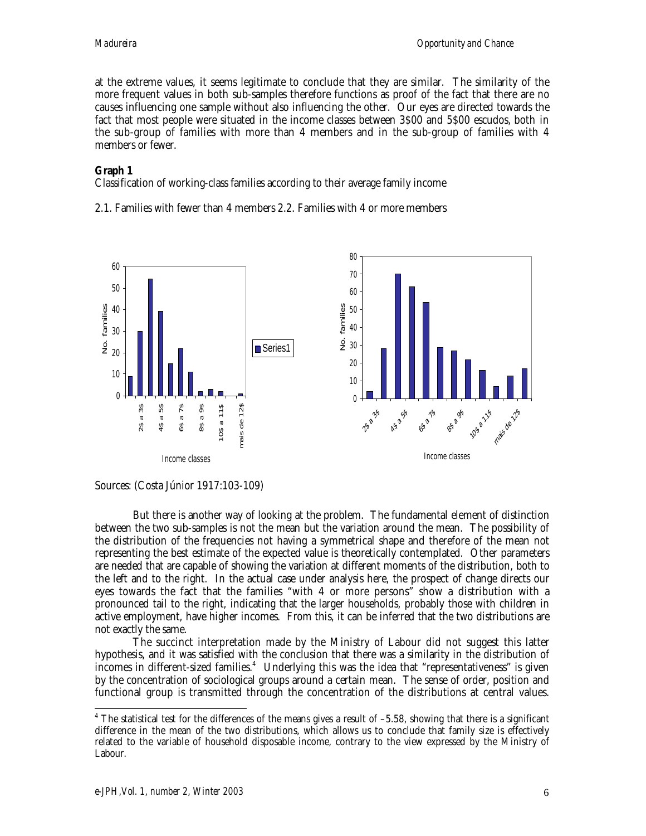at the extreme values, it seems legitimate to conclude that they are similar. The similarity of the more frequent values in both sub-samples therefore functions as proof of the fact that there are no causes influencing one sample without also influencing the other. Our eyes are directed towards the fact that most people were situated in the income classes between 3\$00 and 5\$00 escudos*,* both in the sub-group of families with more than 4 members and in the sub-group of families with 4 members or fewer.

#### **Graph 1**

Classification of working-class families according to their average family income

2.1. Families with fewer than 4 members 2.2. Families with 4 or more members





But there is another way of looking at the problem. The fundamental element of distinction between the two sub-samples is not the mean but the variation around the mean. The possibility of the distribution of the frequencies not having a symmetrical shape and therefore of the mean not representing the best estimate of the expected value is theoretically contemplated. Other parameters are needed that are capable of showing the variation at different moments of the distribution, both to the left and to the right. In the actual case under analysis here, the prospect of change directs our eyes towards the fact that the families "with 4 or more persons" show a distribution with a pronounced tail to the right, indicating that the larger households, probably those with children in active employment, have higher incomes. From this, it can be inferred that the two distributions are not exactly the same.

The succinct interpretation made by the Ministry of Labour did not suggest this latter hypothesis, and it was satisfied with the conclusion that there was a similarity in the distribution of incomes in different-sized families. $^4\;$  Underlying this was the idea that "representativeness" is given by the concentration of sociological groups around a certain mean. The sense of order, position and functional group is transmitted through the concentration of the distributions at central values.

 4 The statistical test for the differences of the means gives a result of –5.58, showing that there is a significant difference in the mean of the two distributions, which allows us to conclude that family size is effectively related to the variable of household disposable income, contrary to the view expressed by the Ministry of Labour.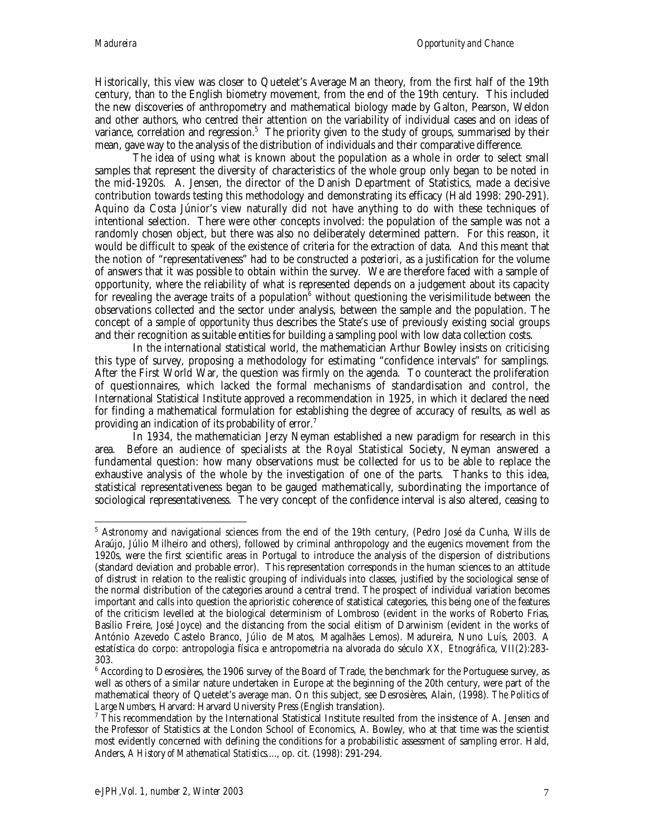Historically, this view was closer to Quetelet's Average Man theory, from the first half of the 19th century, than to the English biometry movement, from the end of the 19th century. This included the new discoveries of anthropometry and mathematical biology made by Galton, Pearson, Weldon and other authors, who centred their attention on the variability of individual cases and on ideas of variance, correlation and regression. $^5\,$  The priority given to the study of groups, summarised by their mean, gave way to the analysis of the distribution of individuals and their comparative difference.

The idea of using what is known about the population as a whole in order to select small samples that represent the diversity of characteristics of the whole group only began to be noted in the mid-1920s. A. Jensen, the director of the Danish Department of Statistics, made a decisive contribution towards testing this methodology and demonstrating its efficacy (Hald 1998: 290-291). Aquino da Costa Júnior's view naturally did not have anything to do with these techniques of intentional selection. There were other concepts involved: the population of the sample was not a randomly chosen object, but there was also no deliberately determined pattern. For this reason, it would be difficult to speak of the existence of criteria for the extraction of data. And this meant that the notion of "representativeness" had to be constructed *a posteriori*, as a justification for the volume of answers that it was possible to obtain within the survey. We are therefore faced with a sample of opportunity, where the reliability of what is represented depends on a judgement about its capacity for revealing the average traits of a population $^6$  without questioning the verisimilitude between the observations collected and the sector under analysis, between the sample and the population. The concept of a *sample of opportunity* thus describes the State's use of previously existing social groups and their recognition as suitable entities for building a sampling pool with low data collection costs.

In the international statistical world, the mathematician Arthur Bowley insists on criticising this type of survey, proposing a methodology for estimating "confidence intervals" for samplings. After the First World War, the question was firmly on the agenda. To counteract the proliferation of questionnaires, which lacked the formal mechanisms of standardisation and control, the International Statistical Institute approved a recommendation in 1925, in which it declared the need for finding a mathematical formulation for establishing the degree of accuracy of results, as well as providing an indication of its probability of error.<sup>7</sup>

In 1934, the mathematician Jerzy Neyman established a new paradigm for research in this area. Before an audience of specialists at the Royal Statistical Society, Neyman answered a fundamental question: how many observations must be collected for us to be able to replace the exhaustive analysis of the whole by the investigation of one of the parts. Thanks to this idea, statistical representativeness began to be gauged mathematically, subordinating the importance of sociological representativeness. The very concept of the confidence interval is also altered, ceasing to

 $\overline{a}$ 5 Astronomy and navigational sciences from the end of the 19th century, (Pedro José da Cunha, Wills de Araújo, Júlio Milheiro and others), followed by criminal anthropology and the eugenics movement from the 1920s, were the first scientific areas in Portugal to introduce the analysis of the dispersion of distributions (standard deviation and probable error). This representation corresponds in the human sciences to an attitude of distrust in relation to the realistic grouping of individuals into classes, justified by the sociological sense of the normal distribution of the categories around a central trend. The prospect of individual variation becomes important and calls into question the aprioristic coherence of statistical categories, this being one of the features of the criticism levelled at the biological determinism of Lombroso (evident in the works of Roberto Frias, Basílio Freire, José Joyce) and the distancing from the social elitism of Darwinism (evident in the works of António Azevedo Castelo Branco, Júlio de Matos, Magalhães Lemos). Madureira, Nuno Luís, 2003*.* A estatística do corpo: antropologia física e antropometria na alvorada do século XX*, Etnográfica*, VII(2):283- 303.

 $^6$  According to Desrosières, the 1906 survey of the Board of Trade, the benchmark for the Portuguese survey, as well as others of a similar nature undertaken in Europe at the beginning of the 20th century, were part of the mathematical theory of Quetelet's average man. On this subject, see Desrosières, Alain, (1998). *The Politics of* Large Numbers, Harvard: Harvard University Press (English translation).

 $7$  This recommendation by the International Statistical Institute resulted from the insistence of A. Jensen and the Professor of Statistics at the London School of Economics, A. Bowley, who at that time was the scientist most evidently concerned with defining the conditions for a probabilistic assessment of sampling error. Hald, Anders, *A History of Mathematical Statistics...*., op. cit. (1998): 291-294.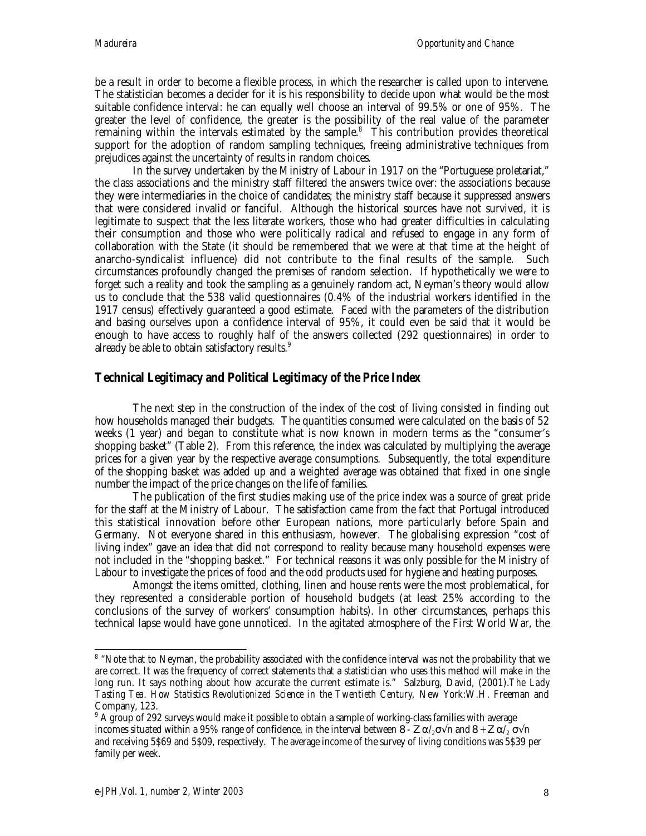be a result in order to become a flexible process, in which the researcher is called upon to intervene. The statistician becomes a decider for it is his responsibility to decide upon what would be the most suitable confidence interval: he can equally well choose an interval of 99.5% or one of 95%. The greater the level of confidence, the greater is the possibility of the real value of the parameter remaining within the intervals estimated by the sample.<sup>8</sup> This contribution provides theoretical support for the adoption of random sampling techniques, freeing administrative techniques from prejudices against the uncertainty of results in random choices.

In the survey undertaken by the Ministry of Labour in 1917 on the "Portuguese proletariat," the class associations and the ministry staff filtered the answers twice over: the associations because they were intermediaries in the choice of candidates; the ministry staff because it suppressed answers that were considered invalid or fanciful. Although the historical sources have not survived, it is legitimate to suspect that the less literate workers, those who had greater difficulties in calculating their consumption and those who were politically radical and refused to engage in any form of collaboration with the State (it should be remembered that we were at that time at the height of anarcho-syndicalist influence) did not contribute to the final results of the sample. Such circumstances profoundly changed the premises of random selection. If hypothetically we were to forget such a reality and took the sampling as a genuinely random act, Neyman's theory would allow us to conclude that the 538 valid questionnaires (0.4% of the industrial workers identified in the 1917 census) effectively guaranteed a good estimate. Faced with the parameters of the distribution and basing ourselves upon a confidence interval of 95%, it could even be said that it would be enough to have access to roughly half of the answers collected (292 questionnaires) in order to already be able to obtain satisfactory results.<sup>9</sup>

## **Technical Legitimacy and Political Legitimacy of the Price Index**

The next step in the construction of the index of the cost of living consisted in finding out how households managed their budgets. The quantities consumed were calculated on the basis of 52 weeks (1 year) and began to constitute what is now known in modern terms as the "consumer's shopping basket" (Table 2). From this reference, the index was calculated by multiplying the average prices for a given year by the respective average consumptions. Subsequently, the total expenditure of the shopping basket was added up and a weighted average was obtained that fixed in one single number the impact of the price changes on the life of families.

The publication of the first studies making use of the price index was a source of great pride for the staff at the Ministry of Labour. The satisfaction came from the fact that Portugal introduced this statistical innovation before other European nations, more particularly before Spain and Germany. Not everyone shared in this enthusiasm, however. The globalising expression "cost of living index" gave an idea that did not correspond to reality because many household expenses were not included in the "shopping basket." For technical reasons it was only possible for the Ministry of Labour to investigate the prices of food and the odd products used for hygiene and heating purposes.

Amongst the items omitted, clothing, linen and house rents were the most problematical, for they represented a considerable portion of household budgets (at least 25% according to the conclusions of the survey of workers' consumption habits). In other circumstances, perhaps this technical lapse would have gone unnoticed. In the agitated atmosphere of the First World War, the

 $\overline{a}$  $8$  "Note that to Neyman, the probability associated with the confidence interval was not the probability that we are correct. It was the frequency of correct statements that a statistician who uses this method will make in the long run. It says nothing about how accurate the current estimate is." Salzburg, David, (2001).*The Lady Tasting Tea. How Statistics Revolutionized Science in the Twentieth Century*, New York:W.H. Freeman and Company, 123.

 $^9$  A group of 292 surveys would make it possible to obtain a sample of working-class families with average incomes situated within a 95% range of confidence, in the interval between 8 - Z  $\alpha/\sim \sigma \sqrt{n}$  and 8 + Z  $\alpha/\sim \sigma \sqrt{n}$ and receiving 5\$69 and 5\$09, respectively. The average income of the survey of living conditions was 5\$39 per family per week.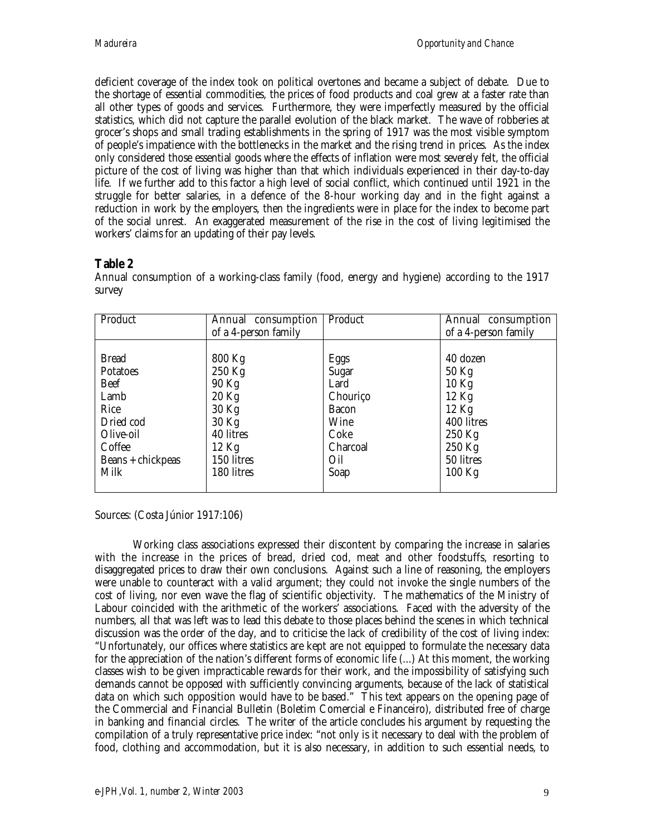deficient coverage of the index took on political overtones and became a subject of debate. Due to the shortage of essential commodities, the prices of food products and coal grew at a faster rate than all other types of goods and services. Furthermore, they were imperfectly measured by the official statistics, which did not capture the parallel evolution of the black market. The wave of robberies at grocer's shops and small trading establishments in the spring of 1917 was the most visible symptom of people's impatience with the bottlenecks in the market and the rising trend in prices. As the index only considered those essential goods where the effects of inflation were most severely felt, the official picture of the cost of living was higher than that which individuals experienced in their day-to-day life. If we further add to this factor a high level of social conflict, which continued until 1921 in the struggle for better salaries, in a defence of the 8-hour working day and in the fight against a reduction in work by the employers, then the ingredients were in place for the index to become part of the social unrest. An exaggerated measurement of the rise in the cost of living legitimised the workers' claims for an updating of their pay levels.

# **Table 2**

| Product           | Annual consumption   | Product      | Annual consumption   |
|-------------------|----------------------|--------------|----------------------|
|                   | of a 4-person family |              | of a 4-person family |
|                   |                      |              |                      |
| <b>Bread</b>      | 800 Kg               | Eggs         | 40 dozen             |
| <b>Potatoes</b>   | 250 Kg               | Sugar        | $50$ Kg              |
| <b>Beef</b>       | 90 Kg                | Lard         | $10$ Kg              |
| Lamb              | $20$ Kg              | Chouriço     | 12 Kg                |
| Rice              | 30 Kg                | <b>Bacon</b> | $12$ Kg              |
| Dried cod         | 30 Kg                | Wine         | 400 litres           |
| Olive-oil         | 40 litres            | Coke         | 250 Kg               |
| Coffee            | $12$ Kg              | Charcoal     | 250 Kg               |
| Beans + chickpeas | 150 litres           | Oil          | 50 litres            |
| Milk              | 180 litres           | Soap         | $100$ Kg             |
|                   |                      |              |                      |

Annual consumption of a working-class family (food, energy and hygiene) according to the 1917 survey

Sources: (Costa Júnior 1917:106)

Working class associations expressed their discontent by comparing the increase in salaries with the increase in the prices of bread, dried cod, meat and other foodstuffs, resorting to disaggregated prices to draw their own conclusions. Against such a line of reasoning, the employers were unable to counteract with a valid argument; they could not invoke the single numbers of the cost of living, nor even wave the flag of scientific objectivity. The mathematics of the Ministry of Labour coincided with the arithmetic of the workers' associations. Faced with the adversity of the numbers, all that was left was to lead this debate to those places behind the scenes in which technical discussion was the order of the day, and to criticise the lack of credibility of the cost of living index: "Unfortunately, our offices where statistics are kept are not equipped to formulate the necessary data for the appreciation of the nation's different forms of economic life (...) At this moment, the working classes wish to be given impracticable rewards for their work, and the impossibility of satisfying such demands cannot be opposed with sufficiently convincing arguments, because of the lack of statistical data on which such opposition would have to be based." This text appears on the opening page of the Commercial and Financial Bulletin (Boletim Comercial e Financeiro), distributed free of charge in banking and financial circles. The writer of the article concludes his argument by requesting the compilation of a truly representative price index: "not only is it necessary to deal with the problem of food, clothing and accommodation, but it is also necessary, in addition to such essential needs, to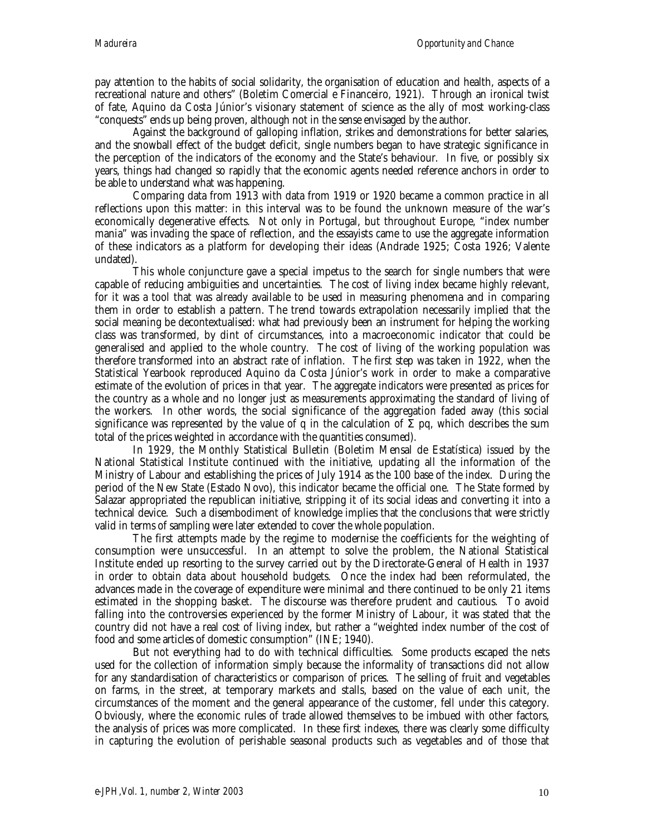pay attention to the habits of social solidarity, the organisation of education and health, aspects of a recreational nature and others" (Boletim Comercial e Financeiro, 1921). Through an ironical twist of fate, Aquino da Costa Júnior's visionary statement of science as the ally of most working-class "conquests" ends up being proven, although not in the sense envisaged by the author.

Against the background of galloping inflation, strikes and demonstrations for better salaries, and the snowball effect of the budget deficit, single numbers began to have strategic significance in the perception of the indicators of the economy and the State's behaviour. In five, or possibly six years, things had changed so rapidly that the economic agents needed reference anchors in order to be able to understand what was happening.

Comparing data from 1913 with data from 1919 or 1920 became a common practice in all reflections upon this matter: in this interval was to be found the unknown measure of the war's economically degenerative effects. Not only in Portugal, but throughout Europe, "index number mania" was invading the space of reflection, and the essayists came to use the aggregate information of these indicators as a platform for developing their ideas (Andrade 1925; Costa 1926; Valente undated).

This whole conjuncture gave a special impetus to the search for single numbers that were capable of reducing ambiguities and uncertainties. The cost of living index became highly relevant, for it was a tool that was already available to be used in measuring phenomena and in comparing them in order to establish a pattern. The trend towards extrapolation necessarily implied that the social meaning be decontextualised: what had previously been an instrument for helping the working class was transformed, by dint of circumstances, into a macroeconomic indicator that could be generalised and applied to the whole country. The cost of living of the working population was therefore transformed into an abstract rate of inflation. The first step was taken in 1922, when the Statistical Yearbook reproduced Aquino da Costa Júnior's work in order to make a comparative estimate of the evolution of prices in that year. The aggregate indicators were presented as prices for the country as a whole and no longer just as measurements approximating the standard of living of the workers. In other words, the social significance of the aggregation faded away (this social significance was represented by the value of q in the calculation of  $\Sigma$  pq, which describes the sum total of the prices weighted in accordance with the quantities consumed).

In 1929, the Monthly Statistical Bulletin (Boletim Mensal de Estatística) issued by the National Statistical Institute continued with the initiative, updating all the information of the Ministry of Labour and establishing the prices of July 1914 as the 100 base of the index. During the period of the New State (Estado Novo), this indicator became the official one. The State formed by Salazar appropriated the republican initiative, stripping it of its social ideas and converting it into a technical device. Such a disembodiment of knowledge implies that the conclusions that were strictly valid in terms of sampling were later extended to cover the whole population.

The first attempts made by the regime to modernise the coefficients for the weighting of consumption were unsuccessful. In an attempt to solve the problem, the National Statistical Institute ended up resorting to the survey carried out by the Directorate-General of Health in 1937 in order to obtain data about household budgets. Once the index had been reformulated, the advances made in the coverage of expenditure were minimal and there continued to be only 21 items estimated in the shopping basket. The discourse was therefore prudent and cautious. To avoid falling into the controversies experienced by the former Ministry of Labour, it was stated that the country did not have a real cost of living index, but rather a "weighted index number of the cost of food and some articles of domestic consumption" (INE; 1940).

But not everything had to do with technical difficulties. Some products escaped the nets used for the collection of information simply because the informality of transactions did not allow for any standardisation of characteristics or comparison of prices. The selling of fruit and vegetables on farms, in the street, at temporary markets and stalls, based on the value of each unit, the circumstances of the moment and the general appearance of the customer, fell under this category. Obviously, where the economic rules of trade allowed themselves to be imbued with other factors, the analysis of prices was more complicated. In these first indexes, there was clearly some difficulty in capturing the evolution of perishable seasonal products such as vegetables and of those that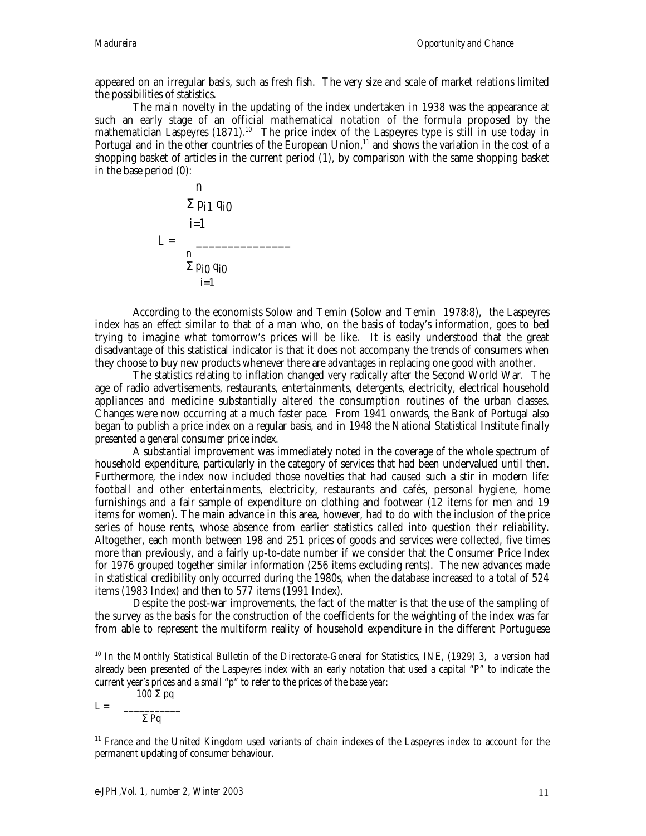appeared on an irregular basis, such as fresh fish. The very size and scale of market relations limited the possibilities of statistics.

The main novelty in the updating of the index undertaken in 1938 was the appearance at such an early stage of an official mathematical notation of the formula proposed by the mathematician Laspeyres (1871).<sup>10</sup> The price index of the Laspeyres type is still in use today in Portugal and in the other countries of the European Union,<sup>11</sup> and shows the variation in the cost of a shopping basket of articles in the current period (1), by comparison with the same shopping basket in the base period (0):

n  
\n
$$
\Sigma p_{i1} q_{i0}
$$
\n
$$
i=1
$$
\nL = 
$$
\frac{n}{\Sigma p_{i0} q_{i0}}
$$
\n
$$
i=1
$$

According to the economists Solow and Temin (Solow and Temin 1978:8), the Laspeyres index has an effect similar to that of a man who, on the basis of today's information, goes to bed trying to imagine what tomorrow's prices will be like. It is easily understood that the great disadvantage of this statistical indicator is that it does not accompany the trends of consumers when they choose to buy new products whenever there are advantages in replacing one good with another.

The statistics relating to inflation changed very radically after the Second World War. The age of radio advertisements, restaurants, entertainments, detergents, electricity, electrical household appliances and medicine substantially altered the consumption routines of the urban classes. Changes were now occurring at a much faster pace. From 1941 onwards, the Bank of Portugal also began to publish a price index on a regular basis, and in 1948 the National Statistical Institute finally presented a general consumer price index.

A substantial improvement was immediately noted in the coverage of the whole spectrum of household expenditure, particularly in the category of services that had been undervalued until then. Furthermore, the index now included those novelties that had caused such a stir in modern life: football and other entertainments, electricity, restaurants and cafés, personal hygiene, home furnishings and a fair sample of expenditure on clothing and footwear (12 items for men and 19 items for women). The main advance in this area, however, had to do with the inclusion of the price series of house rents, whose absence from earlier statistics called into question their reliability. Altogether, each month between 198 and 251 prices of goods and services were collected, five times more than previously, and a fairly up-to-date number if we consider that the Consumer Price Index for 1976 grouped together similar information (256 items excluding rents). The new advances made in statistical credibility only occurred during the 1980s, when the database increased to a total of 524 items (1983 Index) and then to 577 items (1991 Index).

Despite the post-war improvements, the fact of the matter is that the use of the sampling of the survey as the basis for the construction of the coefficients for the weighting of the index was far from able to represent the multiform reality of household expenditure in the different Portuguese

$$
L = \frac{100 \Sigma pq}{}
$$

 $\overline{a}$ 

$$
\frac{1}{\sum PQ}
$$

<sup>&</sup>lt;sup>10</sup> In the Monthly Statistical Bulletin of the Directorate-General for Statistics, INE, (1929) 3, a version had already been presented of the Laspeyres index with an early notation that used a capital "P" to indicate the current year's prices and a small "p" to refer to the prices of the base year:

<sup>&</sup>lt;sup>11</sup> France and the United Kingdom used variants of chain indexes of the Laspeyres index to account for the permanent updating of consumer behaviour.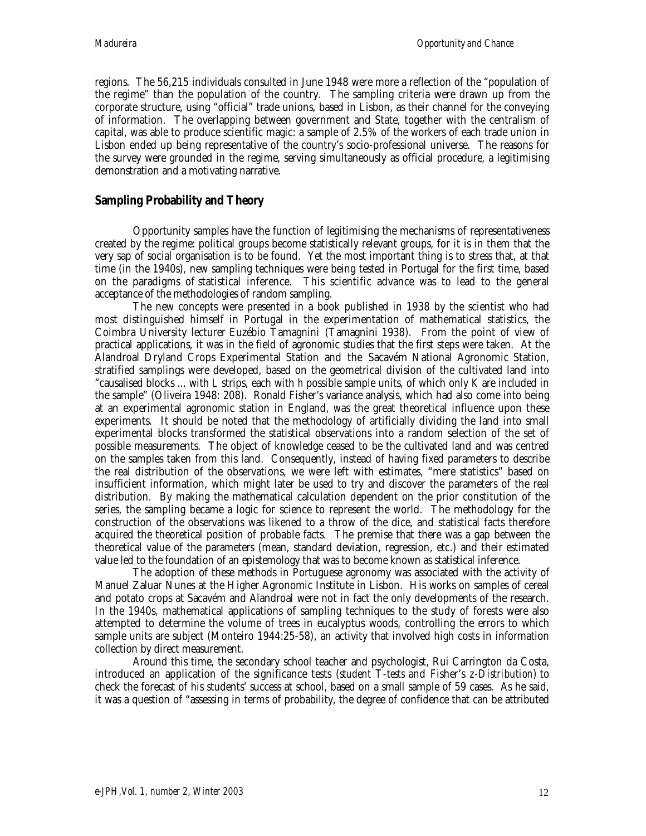regions. The 56,215 individuals consulted in June 1948 were more a reflection of the "population of the regime" than the population of the country. The sampling criteria were drawn up from the corporate structure, using "official" trade unions, based in Lisbon, as their channel for the conveying of information. The overlapping between government and State, together with the centralism of capital, was able to produce scientific magic: a sample of 2.5% of the workers of each trade union in Lisbon ended up being representative of the country's socio-professional universe. The reasons for the survey were grounded in the regime, serving simultaneously as official procedure, a legitimising demonstration and a motivating narrative.

### **Sampling Probability and Theory**

Opportunity samples have the function of legitimising the mechanisms of representativeness created by the regime: political groups become statistically relevant groups, for it is in them that the very sap of social organisation is to be found. Yet the most important thing is to stress that, at that time (in the 1940s), new sampling techniques were being tested in Portugal for the first time, based on the paradigms of statistical inference. This scientific advance was to lead to the general acceptance of the methodologies of random sampling.

The new concepts were presented in a book published in 1938 by the scientist who had most distinguished himself in Portugal in the experimentation of mathematical statistics, the Coimbra University lecturer Euzébio Tamagnini (Tamagnini 1938). From the point of view of practical applications, it was in the field of agronomic studies that the first steps were taken. At the Alandroal Dryland Crops Experimental Station and the Sacavém National Agronomic Station, stratified samplings were developed, based on the geometrical division of the cultivated land into "causalised blocks ... with *L* strips, each with *h* possible sample units, of which only *K* are included in the sample" (Oliveira 1948: 208). Ronald Fisher's variance analysis, which had also come into being at an experimental agronomic station in England, was the great theoretical influence upon these experiments. It should be noted that the methodology of artificially dividing the land into small experimental blocks transformed the statistical observations into a random selection of the set of possible measurements. The object of knowledge ceased to be the cultivated land and was centred on the samples taken from this land. Consequently, instead of having fixed parameters to describe the real distribution of the observations, we were left with estimates, "mere statistics" based on insufficient information, which might later be used to try and discover the parameters of the real distribution. By making the mathematical calculation dependent on the prior constitution of the series, the sampling became a logic for science to represent the world. The methodology for the construction of the observations was likened to a throw of the dice, and statistical facts therefore acquired the theoretical position of probable facts. The premise that there was a gap between the theoretical value of the parameters (mean, standard deviation, regression, etc.) and their estimated value led to the foundation of an epistemology that was to become known as statistical inference.

The adoption of these methods in Portuguese agronomy was associated with the activity of Manuel Zaluar Nunes at the Higher Agronomic Institute in Lisbon. His works on samples of cereal and potato crops at Sacavém and Alandroal were not in fact the only developments of the research. In the 1940s, mathematical applications of sampling techniques to the study of forests were also attempted to determine the volume of trees in eucalyptus woods, controlling the errors to which sample units are subject (Monteiro 1944:25-58), an activity that involved high costs in information collection by direct measurement.

Around this time, the secondary school teacher and psychologist, Rui Carrington da Costa, introduced an application of the significance tests (*student T-tests* and Fisher's *z-Distribution*) to check the forecast of his students' success at school, based on a small sample of 59 cases. As he said, it was a question of "assessing in terms of probability, the degree of confidence that can be attributed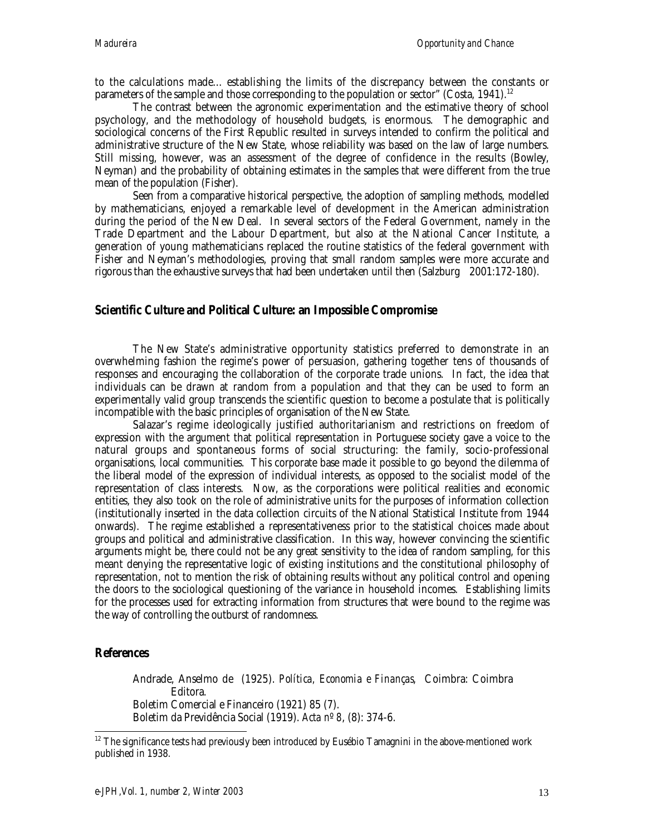to the calculations made... establishing the limits of the discrepancy between the constants or parameters of the sample and those corresponding to the population or sector" (Costa, 1941).<sup>12</sup>

The contrast between the agronomic experimentation and the estimative theory of school psychology, and the methodology of household budgets, is enormous. The demographic and sociological concerns of the First Republic resulted in surveys intended to confirm the political and administrative structure of the New State, whose reliability was based on the law of large numbers. Still missing, however, was an assessment of the degree of confidence in the results (Bowley, Neyman) and the probability of obtaining estimates in the samples that were different from the true mean of the population (Fisher).

Seen from a comparative historical perspective, the adoption of sampling methods, modelled by mathematicians, enjoyed a remarkable level of development in the American administration during the period of the New Deal. In several sectors of the Federal Government, namely in the Trade Department and the Labour Department, but also at the National Cancer Institute, a generation of young mathematicians replaced the routine statistics of the federal government with Fisher and Neyman's methodologies, proving that small random samples were more accurate and rigorous than the exhaustive surveys that had been undertaken until then (Salzburg 2001:172-180).

#### **Scientific Culture and Political Culture: an Impossible Compromise**

The New State's administrative opportunity statistics preferred to demonstrate in an overwhelming fashion the regime's power of persuasion, gathering together tens of thousands of responses and encouraging the collaboration of the corporate trade unions. In fact, the idea that individuals can be drawn at random from a population and that they can be used to form an experimentally valid group transcends the scientific question to become a postulate that is politically incompatible with the basic principles of organisation of the New State.

Salazar's regime ideologically justified authoritarianism and restrictions on freedom of expression with the argument that political representation in Portuguese society gave a voice to the natural groups and spontaneous forms of social structuring: the family, socio-professional organisations, local communities. This corporate base made it possible to go beyond the dilemma of the liberal model of the expression of individual interests, as opposed to the socialist model of the representation of class interests. Now, as the corporations were political realities and economic entities, they also took on the role of administrative units for the purposes of information collection (institutionally inserted in the data collection circuits of the National Statistical Institute from 1944 onwards). The regime established a representativeness prior to the statistical choices made about groups and political and administrative classification. In this way, however convincing the scientific arguments might be, there could not be any great sensitivity to the idea of random sampling, for this meant denying the representative logic of existing institutions and the constitutional philosophy of representation, not to mention the risk of obtaining results without any political control and opening the doors to the sociological questioning of the variance in household incomes. Establishing limits for the processes used for extracting information from structures that were bound to the regime was the way of controlling the outburst of randomness.

#### **References**

Andrade, Anselmo de (1925). *Política, Economia e Finanças*, Coimbra: Coimbra Editora. Boletim Comercial e Financeiro (1921) 85 (7). Boletim da Previdência Social (1919). *Acta nº 8*, (8): 374-6.

 $\overline{a}$  $12$  The significance tests had previously been introduced by Eusébio Tamagnini in the above-mentioned work published in 1938.